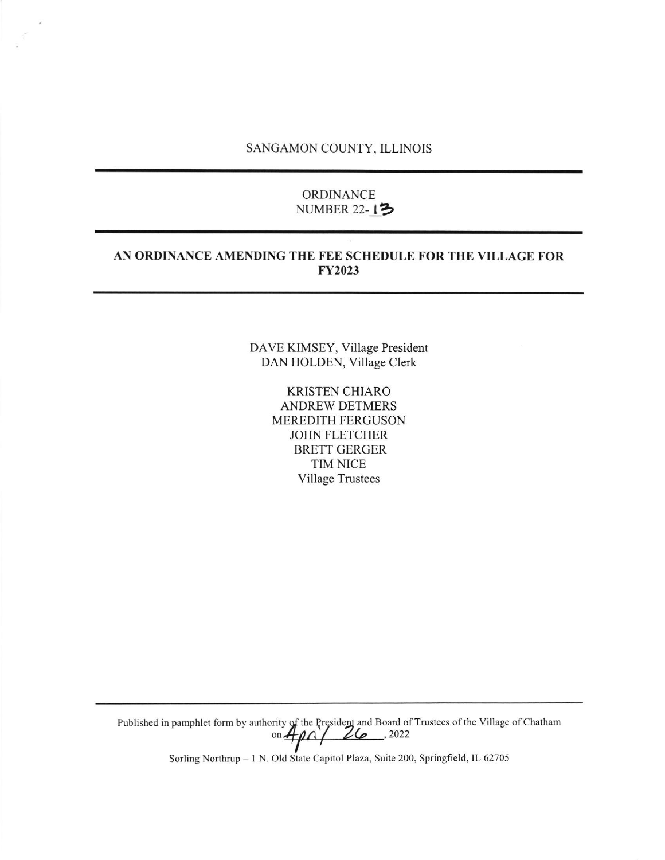#### SANGAMON COUNTY. ILLINOIS

### ORDINANCE NUMBER 22-13

### AN ORDINANCE AMENDINC THE FEE SCHEDULE FOR THE VILLAGE FOR FY2023

DAVE KIMSEY, Village President DAN HOLDEN, Village Clerk

> KRISTEN CHIARO ANDREW DETMERS MEREDITH FERGUSON JOHN FLETCHER BRETT GERGER TIM NICE Village Trustees

Published in pamphlet form by authority of the President and Board of Trustees of the Village of Chatham on  $H\Omega / U = 0.2022$ 

Sorling Northrup - 1 N. Old State Capitol Plaza, Suite 200, Springfield, IL 62705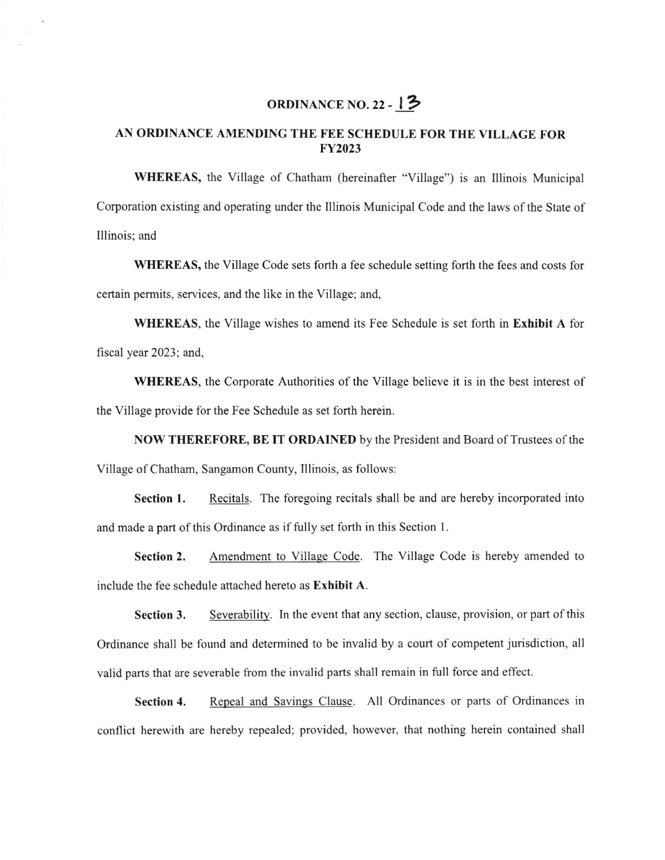# ORDINANCE NO. 22 -  $13$

## AN ORDINANCE AMENDING THE FEE SCHEDULE FOR THE VILLAGE FOR FY2023

WHEREAS, the Village of Chatham (hereinafter "Village") is an Illinois Municipal Corporation existing and operating under the Illinois Municipal Code and the laws ofthe State of Illinois; and

WHEREAS, the Village Code sets forth a fee schedule setting forth the fees and costs for certain permits, services, and the like in the Village; and,

WHEREAS, the Village wishes to amend its Fee Schedule is set forth in Exhibit A for fiscal year 2023; and,

WHEREAS, the Corporate Authorities of the Village believe it is in the best interest of the Village provide for the Fee Schedule as set forth herein.

NOW THEREFORE, BE IT ORDAINED by the President and Board of Trustees of the Village of Chatham, Sangamon County, Illinois, as follows:

Section 1. Recitals. The foregoing recitals shall be and are hereby incorporated into and made a part of this Ordinance as if fully set forth in this Section 1.

Section 2. Amendment to Village Code. The Village Code is hereby amended to include the fee schedule attached hereto as Exhibit A.

Section 3. Severability. In the event that any section, clause, provision, or part of this Ordinance shall be found and determined to be invalid by a court of competent jurisdiction, all valid parts that are severable from the invalid parts shall remain in full force and effect.

Section 4. Repeal and Savings Clause. All Ordinances or parts of Ordinances in conflict herewith are hereby repealed; provided, however, that nothing herein contained shall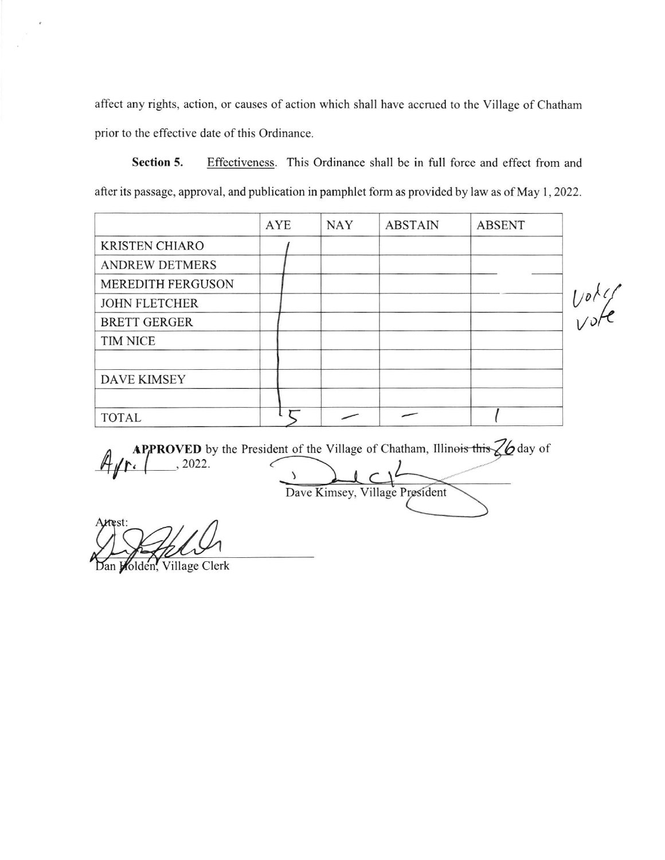affect any rights, action, or causes of action which shall have accrued to the Village of Chatham prior to the effective date of this Ordinance.

Section 5. Effectiveness. This Ordinance shall be in full force and effect from and after its passage, approval, and publication in pamphlet form as provided by law as of May 1, 2022.

|                       | <b>AYE</b> | <b>NAY</b> | <b>ABSTAIN</b> | <b>ABSENT</b> |
|-----------------------|------------|------------|----------------|---------------|
| <b>KRISTEN CHIARO</b> |            |            |                |               |
| <b>ANDREW DETMERS</b> |            |            |                |               |
| MEREDITH FERGUSON     |            |            |                |               |
| <b>JOHN FLETCHER</b>  |            |            |                |               |
| <b>BRETT GERGER</b>   |            |            |                |               |
| <b>TIM NICE</b>       |            |            |                |               |
| <b>DAVE KIMSEY</b>    |            |            |                |               |
| <b>TOTAL</b>          |            |            |                |               |

{|  $\epsilon$ 

**APPROVED** by the President of the Village of Chatham, Illinois this  $\frac{26}{4}$  day of  $\lambda$ Dave Kimsey, Village President

Village Clerk folden. an